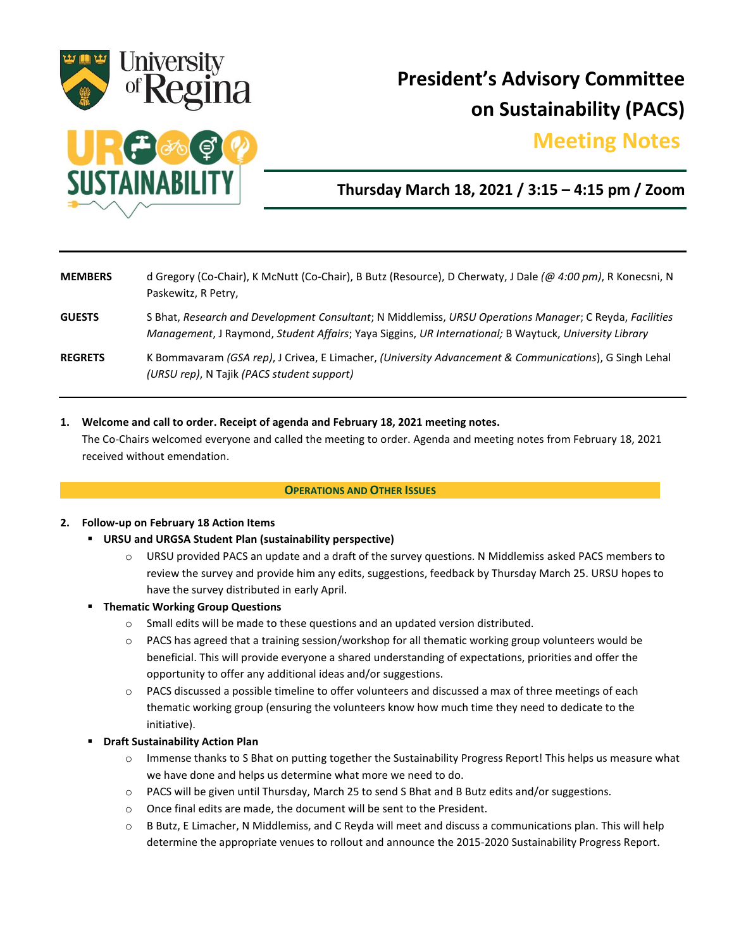

# **President's Advisory Committee on Sustainability (PACS)**

## **Meeting Notes.**



### **Thursday March 18, 2021 / 3:15 – 4:15 pm / Zoom**

| <b>MEMBERS</b> | d Gregory (Co-Chair), K McNutt (Co-Chair), B Butz (Resource), D Cherwaty, J Dale (@ 4:00 pm), R Konecsni, N<br>Paskewitz, R Petry,                                                                               |
|----------------|------------------------------------------------------------------------------------------------------------------------------------------------------------------------------------------------------------------|
| <b>GUESTS</b>  | S Bhat, Research and Development Consultant; N Middlemiss, URSU Operations Manager; C Reyda, Facilities<br>Management, J Raymond, Student Affairs; Yaya Siggins, UR International; B Waytuck, University Library |
| <b>REGRETS</b> | K Bommavaram (GSA rep), J Crivea, E Limacher, (University Advancement & Communications), G Singh Lehal<br>(URSU rep), N Tajik (PACS student support)                                                             |

#### **1. Welcome and call to order. Receipt of agenda and February 18, 2021 meeting notes.**

The Co-Chairs welcomed everyone and called the meeting to order. Agenda and meeting notes from February 18, 2021 received without emendation.

#### **OPERATIONS AND OTHER ISSUES**

#### **2. Follow-up on February 18 Action Items**

- **URSU and URGSA Student Plan (sustainability perspective)**
	- $\circ$  URSU provided PACS an update and a draft of the survey questions. N Middlemiss asked PACS members to review the survey and provide him any edits, suggestions, feedback by Thursday March 25. URSU hopes to have the survey distributed in early April.
- **Thematic Working Group Questions**
	- o Small edits will be made to these questions and an updated version distributed.
	- $\circ$  PACS has agreed that a training session/workshop for all thematic working group volunteers would be beneficial. This will provide everyone a shared understanding of expectations, priorities and offer the opportunity to offer any additional ideas and/or suggestions.
	- o PACS discussed a possible timeline to offer volunteers and discussed a max of three meetings of each thematic working group (ensuring the volunteers know how much time they need to dedicate to the initiative).
- **Draft Sustainability Action Plan**
	- Immense thanks to S Bhat on putting together the Sustainability Progress Report! This helps us measure what we have done and helps us determine what more we need to do.
	- $\circ$  PACS will be given until Thursday, March 25 to send S Bhat and B Butz edits and/or suggestions.
	- o Once final edits are made, the document will be sent to the President.
	- $\circ$  B Butz, E Limacher, N Middlemiss, and C Reyda will meet and discuss a communications plan. This will help determine the appropriate venues to rollout and announce the 2015-2020 Sustainability Progress Report.